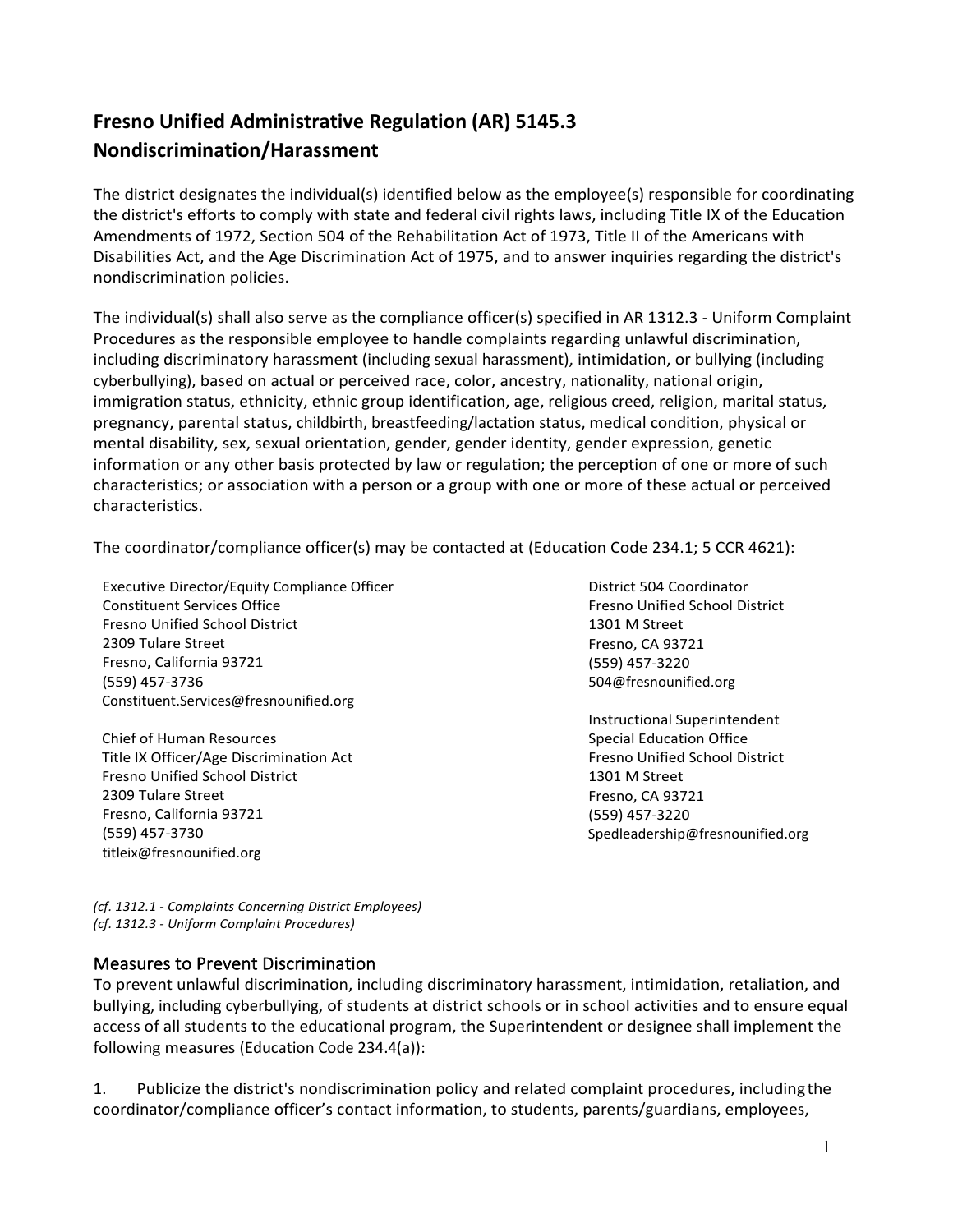# **Fresno Unified Administrative Regulation (AR) 5145.3 Nondiscrimination/Harassment**

The district designates the individual(s) identified below as the employee(s) responsible for coordinating the district's efforts to comply with state and federal civil rights laws, including Title IX of the Education Amendments of 1972, Section 504 of the Rehabilitation Act of 1973, Title II of the Americans with Disabilities Act, and the Age Discrimination Act of 1975, and to answer inquiries regarding the district's nondiscrimination policies.

The individual(s) shall also serve as the compliance officer(s) specified in AR 1312.3 - Uniform Complaint Procedures as the responsible employee to handle complaints regarding unlawful discrimination, including discriminatory harassment (including sexual harassment), intimidation, or bullying (including cyberbullying), based on actual or perceived race, color, ancestry, nationality, national origin, immigration status, ethnicity, ethnic group identification, age, religious creed, religion, marital status, pregnancy, parental status, childbirth, breastfeeding/lactation status, medical condition, physical or mental disability, sex, sexual orientation, gender, gender identity, gender expression, genetic information or any other basis protected by law or regulation; the perception of one or more of such characteristics; or association with a person or a group with one or more of these actual or perceived characteristics.

The coordinator/compliance officer(s) may be contacted at (Education Code 234.1; 5 CCR 4621):

Executive Director/Equity Compliance Officer Constituent Services Office Fresno Unified School District 2309 Tulare Street Fresno, California 93721 (559) 457-3736 [Constituent.Services@fresnounified.org](mailto:Constituent.Services@fresnounified.org)

Chief of Human Resources Title IX Officer/Age Discrimination Act Fresno Unified School District 2309 Tulare Street Fresno, California 93721 (559) 457-3730 [titleix@fresnounified.org](mailto:titleix@fresnounified.org)

District 504 Coordinator Fresno Unified School District 1301 M Street Fresno, CA 93721 (559) 457-3220 [504@fresnounified.org](mailto:504@fresnounified.org)

Instructional Superintendent Special Education Office Fresno Unified School District 1301 M Street Fresno, CA 93721 (559) 457-3220 [Spedleadership@fresnounified.org](mailto:Brian.Beck@fresnounified.org)

*(cf. 1312.1 - Complaints Concerning District Employees) (cf. 1312.3 - Uniform Complaint Procedures)*

## Measures to Prevent Discrimination

To prevent unlawful discrimination, including discriminatory harassment, intimidation, retaliation, and bullying, including cyberbullying, of students at district schools or in school activities and to ensure equal access of all students to the educational program, the Superintendent or designee shall implement the following measures (Education Code 234.4(a)):

1. Publicize the district's nondiscrimination policy and related complaint procedures, includingthe coordinator/compliance officer's contact information, to students, parents/guardians, employees,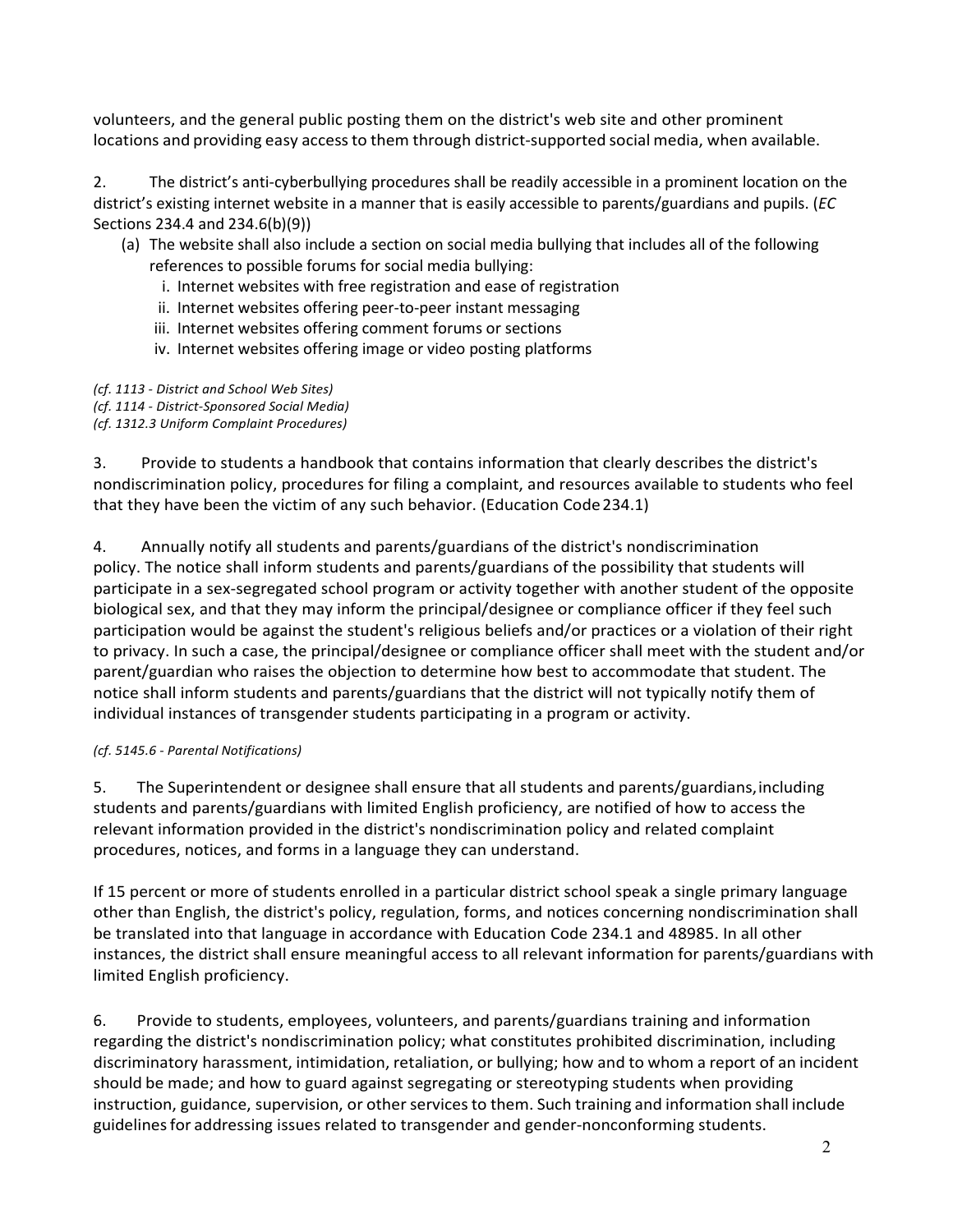volunteers, and the general public posting them on the district's web site and other prominent locations and providing easy accessto them through district-supported social media, when available.

2. The district's anti-cyberbullying procedures shall be readily accessible in a prominent location on the district's existing internet website in a manner that is easily accessible to parents/guardians and pupils. (*EC* Sections 234.4 and 234.6(b)(9))

## (a) The website shall also include a section on social media bullying that includes all of the following references to possible forums for social media bullying:

- i. Internet websites with free registration and ease of registration
- ii. Internet websites offering peer-to-peer instant messaging
- iii. Internet websites offering comment forums or sections
- iv. Internet websites offering image or video posting platforms

#### *(cf. 1113 - District and School Web Sites)*

*(cf. 1114 - District-Sponsored Social Media)* 

*(cf. 1312.3 Uniform Complaint Procedures)*

3. Provide to students a handbook that contains information that clearly describes the district's nondiscrimination policy, procedures for filing a complaint, and resources available to students who feel that they have been the victim of any such behavior. (Education Code234.1)

4. Annually notify all students and parents/guardians of the district's nondiscrimination policy. The notice shall inform students and parents/guardians of the possibility that students will participate in a sex-segregated school program or activity together with another student of the opposite biological sex, and that they may inform the principal/designee or compliance officer if they feel such participation would be against the student's religious beliefs and/or practices or a violation of their right to privacy. In such a case, the principal/designee or compliance officer shall meet with the student and/or parent/guardian who raises the objection to determine how best to accommodate that student. The notice shall inform students and parents/guardians that the district will not typically notify them of individual instances of transgender students participating in a program or activity.

#### *(cf. 5145.6 - Parental Notifications)*

5. The Superintendent or designee shall ensure that all students and parents/guardians,including students and parents/guardians with limited English proficiency, are notified of how to access the relevant information provided in the district's nondiscrimination policy and related complaint procedures, notices, and forms in a language they can understand.

If 15 percent or more of students enrolled in a particular district school speak a single primary language other than English, the district's policy, regulation, forms, and notices concerning nondiscrimination shall be translated into that language in accordance with Education Code 234.1 and 48985. In all other instances, the district shall ensure meaningful access to all relevant information for parents/guardians with limited English proficiency.

6. Provide to students, employees, volunteers, and parents/guardians training and information regarding the district's nondiscrimination policy; what constitutes prohibited discrimination, including discriminatory harassment, intimidation, retaliation, or bullying; how and to whom a report of an incident should be made; and how to guard against segregating or stereotyping students when providing instruction, guidance, supervision, or other services to them. Such training and information shall include guidelinesfor addressing issues related to transgender and gender-nonconforming students.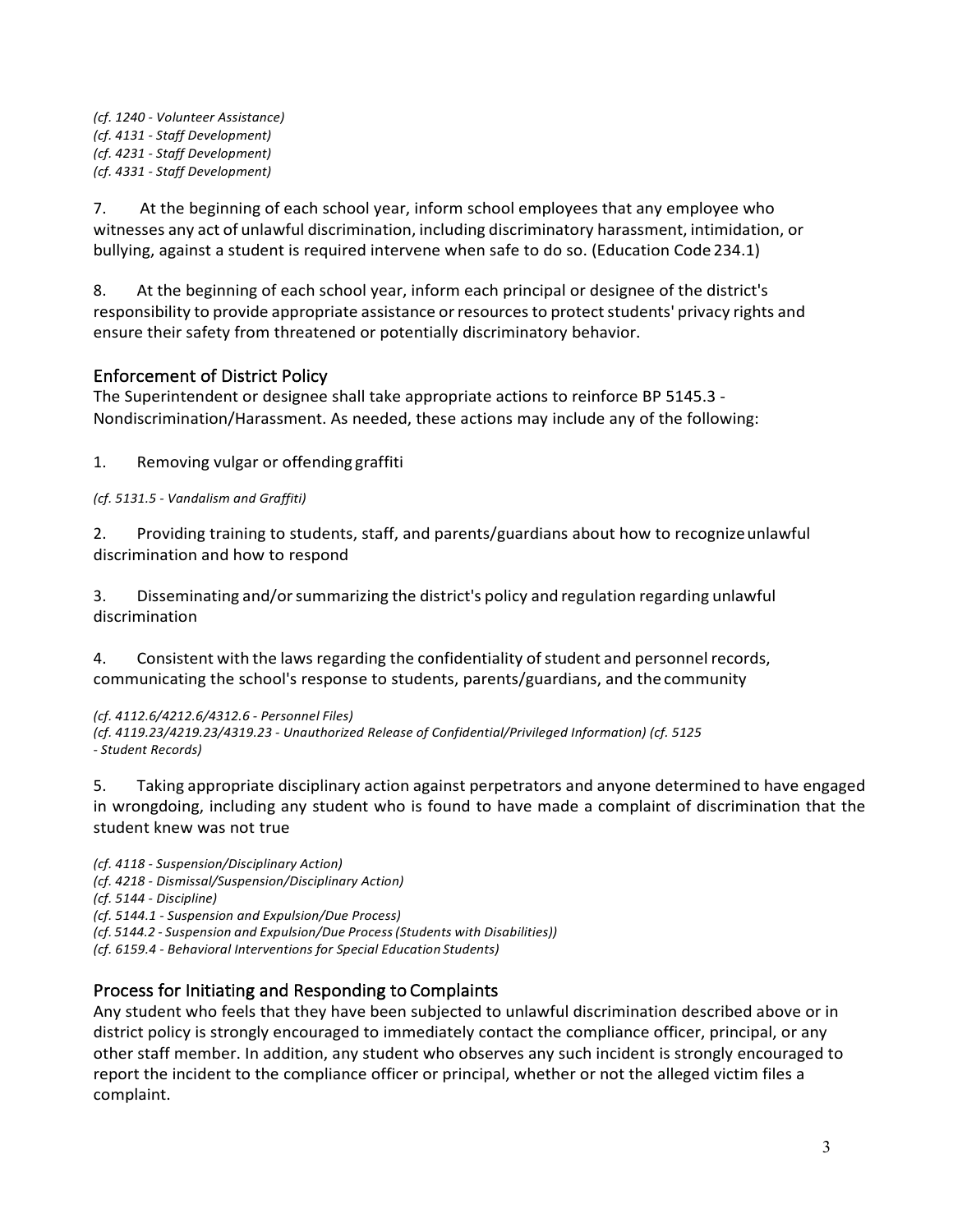*(cf. 1240 - Volunteer Assistance) (cf. 4131 - Staff Development) (cf. 4231 - Staff Development) (cf. 4331 - Staff Development)*

7. At the beginning of each school year, inform school employees that any employee who witnesses any act of unlawful discrimination, including discriminatory harassment, intimidation, or bullying, against a student is required intervene when safe to do so. (Education Code 234.1)

8. At the beginning of each school year, inform each principal or designee of the district's responsibility to provide appropriate assistance or resources to protect students' privacy rights and ensure their safety from threatened or potentially discriminatory behavior.

# Enforcement of District Policy

The Superintendent or designee shall take appropriate actions to reinforce BP 5145.3 - Nondiscrimination/Harassment. As needed, these actions may include any of the following:

1. Removing vulgar or offending graffiti

*(cf. 5131.5 - Vandalism and Graffiti)*

2. Providing training to students, staff, and parents/guardians about how to recognizeunlawful discrimination and how to respond

3. Disseminating and/orsummarizing the district's policy and regulation regarding unlawful discrimination

4. Consistent with the laws regarding the confidentiality of student and personnel records, communicating the school's response to students, parents/guardians, and the community

#### *(cf. 4112.6/4212.6/4312.6 - Personnel Files)*

*(cf. 4119.23/4219.23/4319.23 - Unauthorized Release of Confidential/Privileged Information) (cf. 5125 - Student Records)*

5. Taking appropriate disciplinary action against perpetrators and anyone determined to have engaged in wrongdoing, including any student who is found to have made a complaint of discrimination that the student knew was not true

*(cf. 4118 - Suspension/Disciplinary Action) (cf. 4218 - Dismissal/Suspension/Disciplinary Action) (cf. 5144 - Discipline) (cf. 5144.1 - Suspension and Expulsion/Due Process) (cf. 5144.2 - Suspension and Expulsion/Due Process(Students with Disabilities)) (cf. 6159.4 - Behavioral Interventions for Special Education Students)*

## Process for Initiating and Responding to Complaints

Any student who feels that they have been subjected to unlawful discrimination described above or in district policy is strongly encouraged to immediately contact the compliance officer, principal, or any other staff member. In addition, any student who observes any such incident is strongly encouraged to report the incident to the compliance officer or principal, whether or not the alleged victim files a complaint.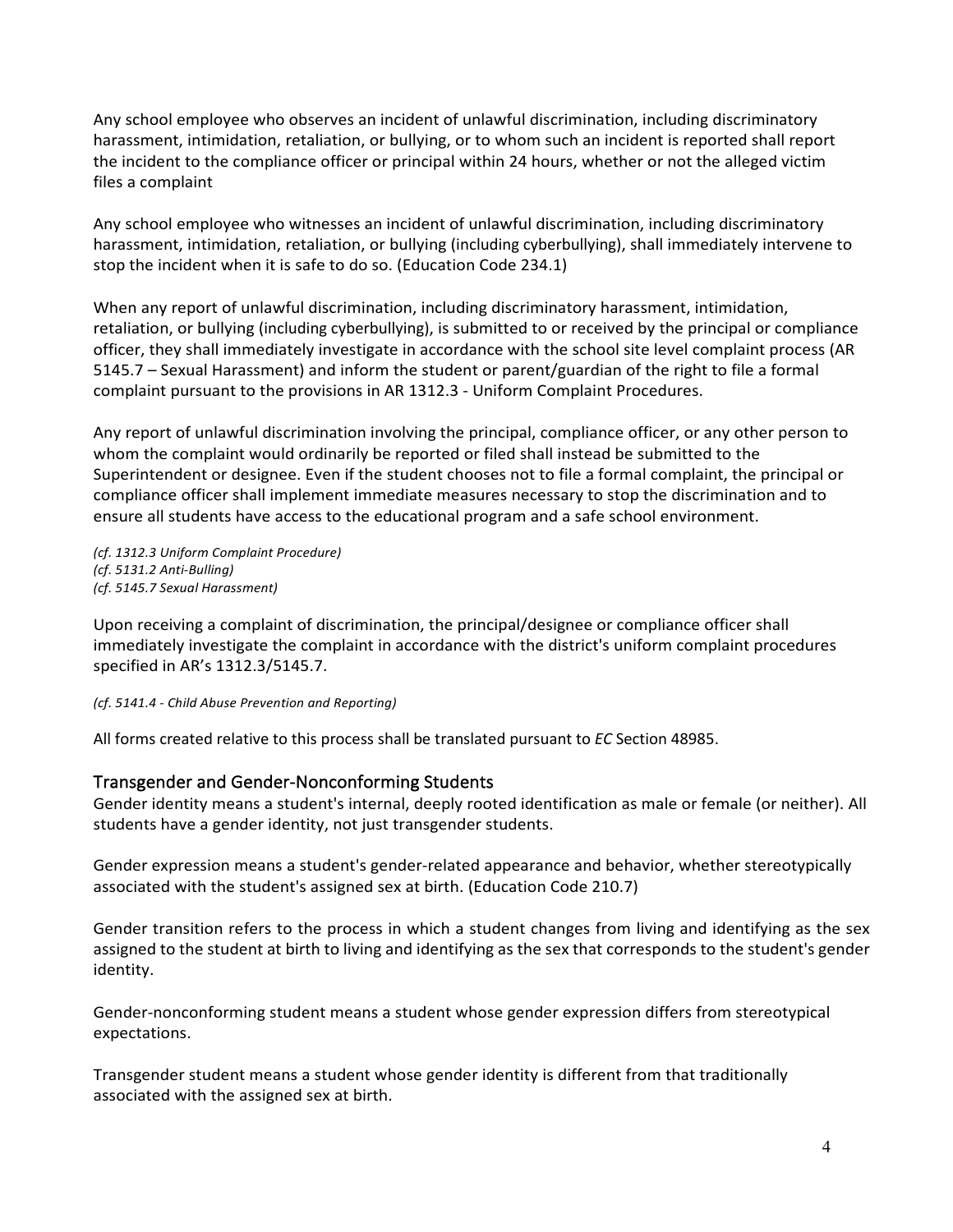Any school employee who observes an incident of unlawful discrimination, including discriminatory harassment, intimidation, retaliation, or bullying, or to whom such an incident is reported shall report the incident to the compliance officer or principal within 24 hours, whether or not the alleged victim files a complaint

Any school employee who witnesses an incident of unlawful discrimination, including discriminatory harassment, intimidation, retaliation, or bullying (including cyberbullying), shall immediately intervene to stop the incident when it is safe to do so. (Education Code 234.1)

When any report of unlawful discrimination, including discriminatory harassment, intimidation, retaliation, or bullying (including cyberbullying), is submitted to or received by the principal or compliance officer, they shall immediately investigate in accordance with the school site level complaint process (AR 5145.7 – Sexual Harassment) and inform the student or parent/guardian of the right to file a formal complaint pursuant to the provisions in AR 1312.3 - Uniform Complaint Procedures.

Any report of unlawful discrimination involving the principal, compliance officer, or any other person to whom the complaint would ordinarily be reported or filed shall instead be submitted to the Superintendent or designee. Even if the student chooses not to file a formal complaint, the principal or compliance officer shall implement immediate measures necessary to stop the discrimination and to ensure all students have access to the educational program and a safe school environment.

*(cf. 1312.3 Uniform Complaint Procedure) (cf. 5131.2 Anti-Bulling) (cf. 5145.7 Sexual Harassment)*

Upon receiving a complaint of discrimination, the principal/designee or compliance officer shall immediately investigate the complaint in accordance with the district's uniform complaint procedures specified in AR's 1312.3/5145.7.

*(cf. 5141.4 - Child Abuse Prevention and Reporting)*

All forms created relative to this process shall be translated pursuant to *EC* Section 48985.

### Transgender and Gender-Nonconforming Students

Gender identity means a student's internal, deeply rooted identification as male or female (or neither). All students have a gender identity, not just transgender students.

Gender expression means a student's gender-related appearance and behavior, whether stereotypically associated with the student's assigned sex at birth. (Education Code 210.7)

Gender transition refers to the process in which a student changes from living and identifying as the sex assigned to the student at birth to living and identifying as the sex that corresponds to the student's gender identity.

Gender-nonconforming student means a student whose gender expression differs from stereotypical expectations.

Transgender student means a student whose gender identity is different from that traditionally associated with the assigned sex at birth.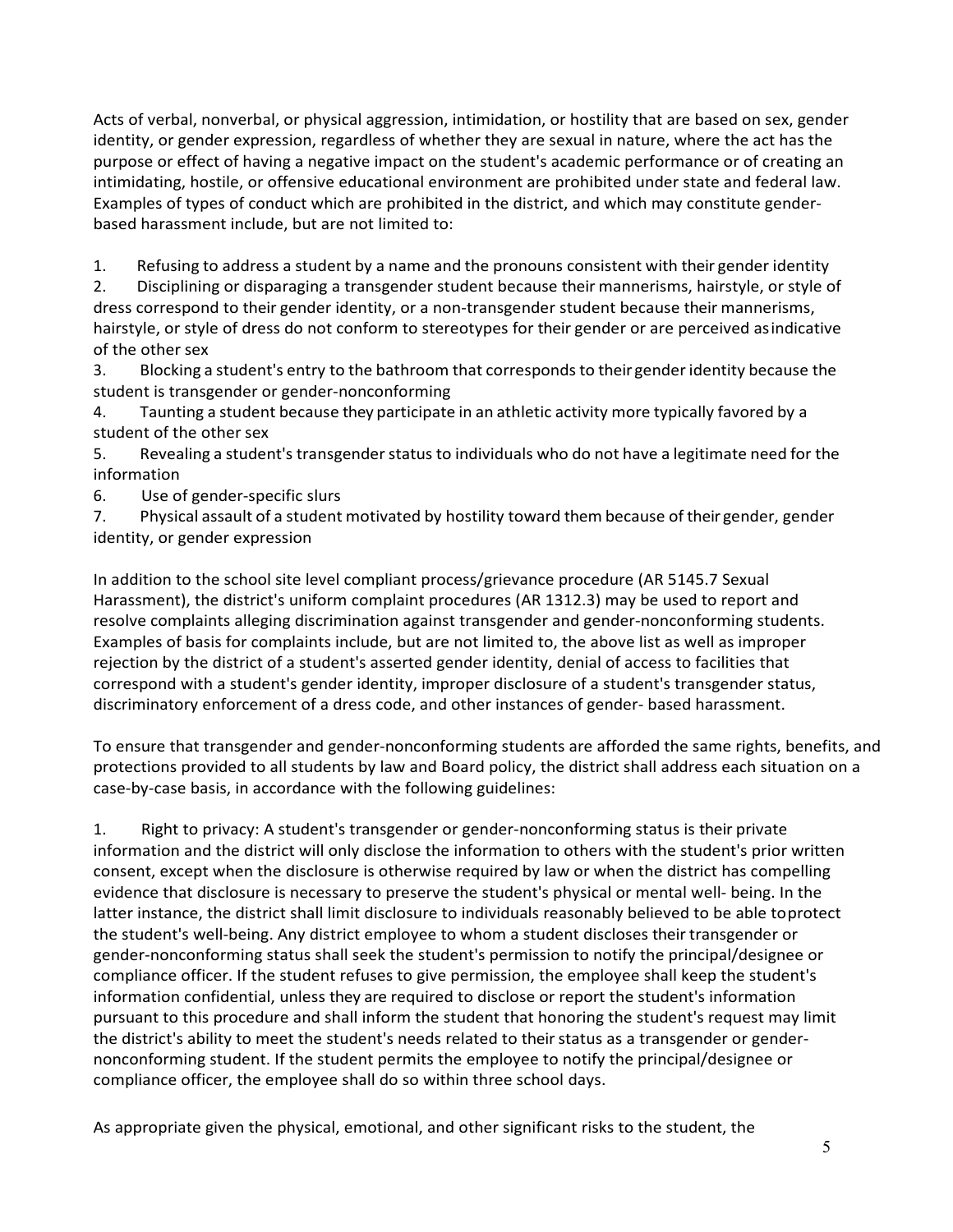Acts of verbal, nonverbal, or physical aggression, intimidation, or hostility that are based on sex, gender identity, or gender expression, regardless of whether they are sexual in nature, where the act has the purpose or effect of having a negative impact on the student's academic performance or of creating an intimidating, hostile, or offensive educational environment are prohibited under state and federal law. Examples of types of conduct which are prohibited in the district, and which may constitute genderbased harassment include, but are not limited to:

1. Refusing to address a student by a name and the pronouns consistent with their gender identity

2. Disciplining or disparaging a transgender student because their mannerisms, hairstyle, or style of dress correspond to their gender identity, or a non-transgender student because their mannerisms, hairstyle, or style of dress do not conform to stereotypes for their gender or are perceived asindicative of the other sex

3. Blocking a student's entry to the bathroom that correspondsto their genderidentity because the student is transgender or gender-nonconforming

4. Taunting a student because they participate in an athletic activity more typically favored by a student of the other sex

5. Revealing a student's transgenderstatus to individuals who do not have a legitimate need for the information

6. Use of gender-specific slurs

7. Physical assault of a student motivated by hostility toward them because of their gender, gender identity, or gender expression

In addition to the school site level compliant process/grievance procedure (AR 5145.7 Sexual Harassment), the district's uniform complaint procedures (AR 1312.3) may be used to report and resolve complaints alleging discrimination against transgender and gender-nonconforming students. Examples of basis for complaints include, but are not limited to, the above list as well as improper rejection by the district of a student's asserted gender identity, denial of access to facilities that correspond with a student's gender identity, improper disclosure of a student's transgender status, discriminatory enforcement of a dress code, and other instances of gender- based harassment.

To ensure that transgender and gender-nonconforming students are afforded the same rights, benefits, and protections provided to all students by law and Board policy, the district shall address each situation on a case-by-case basis, in accordance with the following guidelines:

1. Right to privacy: A student's transgender or gender-nonconforming status is their private information and the district will only disclose the information to others with the student's prior written consent, except when the disclosure is otherwise required by law or when the district has compelling evidence that disclosure is necessary to preserve the student's physical or mental well- being. In the latter instance, the district shall limit disclosure to individuals reasonably believed to be able toprotect the student's well-being. Any district employee to whom a student discloses their transgender or gender-nonconforming status shall seek the student's permission to notify the principal/designee or compliance officer. If the student refuses to give permission, the employee shall keep the student's information confidential, unless they are required to disclose or report the student's information pursuant to this procedure and shall inform the student that honoring the student's request may limit the district's ability to meet the student's needs related to their status as a transgender or gendernonconforming student. If the student permits the employee to notify the principal/designee or compliance officer, the employee shall do so within three school days.

As appropriate given the physical, emotional, and other significant risks to the student, the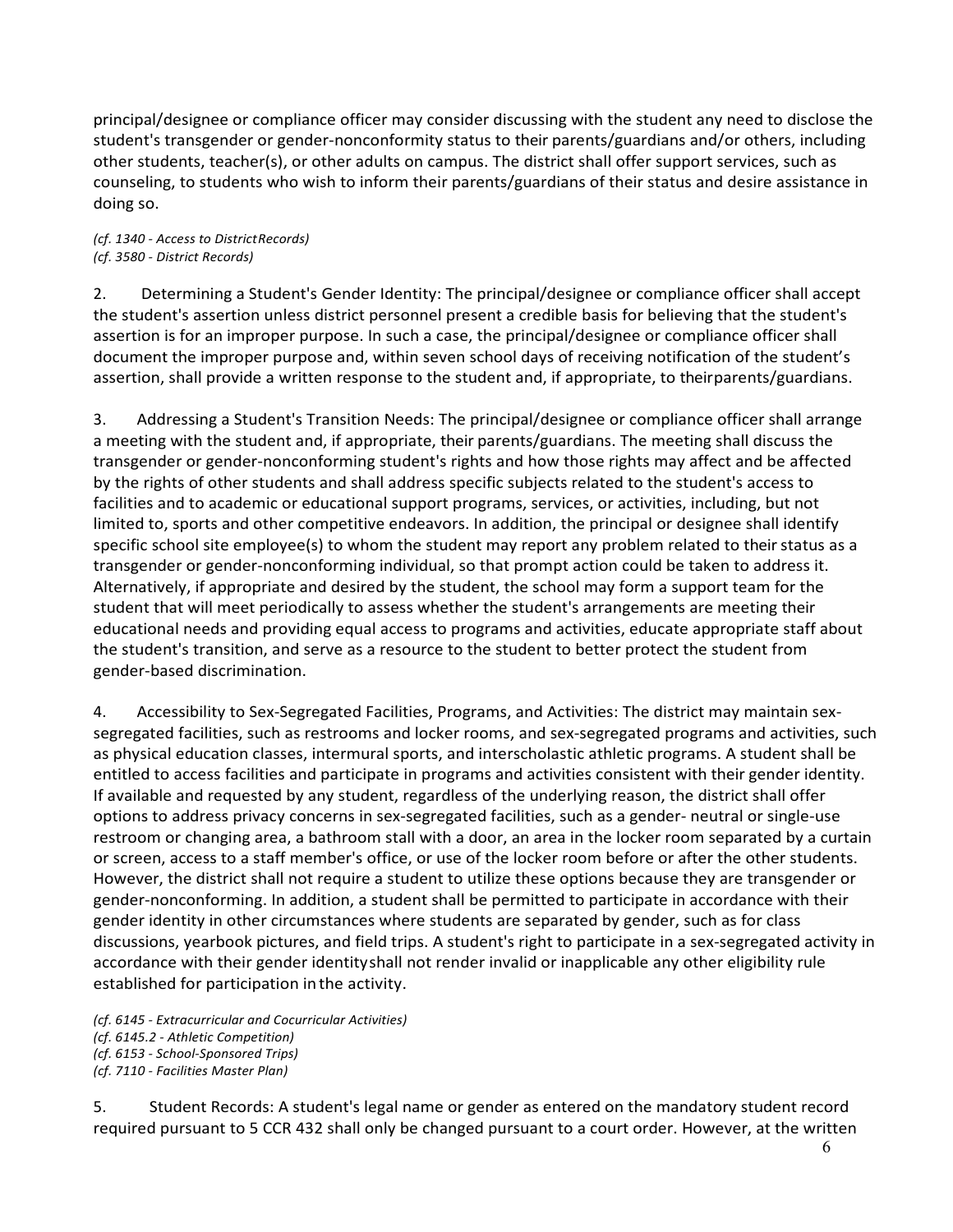principal/designee or compliance officer may consider discussing with the student any need to disclose the student's transgender or gender-nonconformity status to their parents/guardians and/or others, including other students, teacher(s), or other adults on campus. The district shall offer support services, such as counseling, to students who wish to inform their parents/guardians of their status and desire assistance in doing so.

*(cf. 1340 - Access to DistrictRecords) (cf. 3580 - District Records)*

2. Determining a Student's Gender Identity: The principal/designee or compliance officer shall accept the student's assertion unless district personnel present a credible basis for believing that the student's assertion is for an improper purpose. In such a case, the principal/designee or compliance officer shall document the improper purpose and, within seven school days of receiving notification of the student's assertion, shall provide a written response to the student and, if appropriate, to theirparents/guardians.

3. Addressing a Student's Transition Needs: The principal/designee or compliance officer shall arrange a meeting with the student and, if appropriate, their parents/guardians. The meeting shall discuss the transgender or gender-nonconforming student's rights and how those rights may affect and be affected by the rights of other students and shall address specific subjects related to the student's access to facilities and to academic or educational support programs, services, or activities, including, but not limited to, sports and other competitive endeavors. In addition, the principal or designee shall identify specific school site employee(s) to whom the student may report any problem related to their status as a transgender or gender-nonconforming individual, so that prompt action could be taken to address it. Alternatively, if appropriate and desired by the student, the school may form a support team for the student that will meet periodically to assess whether the student's arrangements are meeting their educational needs and providing equal access to programs and activities, educate appropriate staff about the student's transition, and serve as a resource to the student to better protect the student from gender-based discrimination.

4. Accessibility to Sex-Segregated Facilities, Programs, and Activities: The district may maintain sexsegregated facilities, such as restrooms and locker rooms, and sex-segregated programs and activities, such as physical education classes, intermural sports, and interscholastic athletic programs. A student shall be entitled to access facilities and participate in programs and activities consistent with their gender identity. If available and requested by any student, regardless of the underlying reason, the district shall offer options to address privacy concerns in sex-segregated facilities, such as a gender- neutral or single-use restroom or changing area, a bathroom stall with a door, an area in the locker room separated by a curtain or screen, access to a staff member's office, or use of the locker room before or after the other students. However, the district shall not require a student to utilize these options because they are transgender or gender-nonconforming. In addition, a student shall be permitted to participate in accordance with their gender identity in other circumstances where students are separated by gender, such as for class discussions, yearbook pictures, and field trips. A student's right to participate in a sex-segregated activity in accordance with their gender identityshall not render invalid or inapplicable any other eligibility rule established for participation inthe activity.

*(cf. 6145 - Extracurricular and Cocurricular Activities) (cf. 6145.2 - Athletic Competition) (cf. 6153 - School-Sponsored Trips) (cf. 7110 - Facilities Master Plan)*

5. Student Records: A student's legal name or gender as entered on the mandatory student record required pursuant to 5 CCR 432 shall only be changed pursuant to a court order. However, at the written